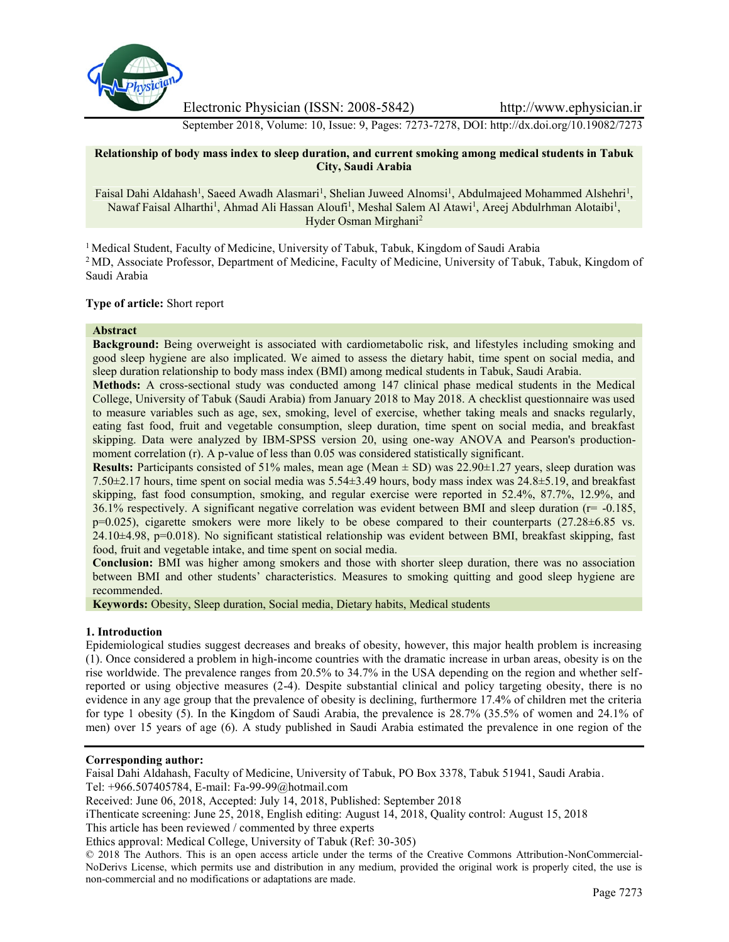

Electronic Physician (ISSN: 2008-5842) http://www.ephysician.ir

September 2018, Volume: 10, Issue: 9, Pages: 7273-7278, DOI: http://dx.doi.org/10.19082/7273

### **Relationship of body mass index to sleep duration, and current smoking among medical students in Tabuk City, Saudi Arabia**

Faisal Dahi Aldahash<sup>1</sup>, Saeed Awadh Alasmari<sup>1</sup>, Shelian Juweed Alnomsi<sup>1</sup>, Abdulmajeed Mohammed Alshehri<sup>1</sup>, Nawaf Faisal Alharthi<sup>1</sup>, Ahmad Ali Hassan Aloufi<sup>1</sup>, Meshal Salem Al Atawi<sup>1</sup>, Areej Abdulrhman Alotaibi<sup>1</sup>, Hyder Osman Mirghani<sup>2</sup>

<sup>1</sup> Medical Student, Faculty of Medicine, University of Tabuk, Tabuk, Kingdom of Saudi Arabia <sup>2</sup> MD, Associate Professor, Department of Medicine, Faculty of Medicine, University of Tabuk, Tabuk, Kingdom of Saudi Arabia

# **Type of article:** Short report

# **Abstract**

**Background:** Being overweight is associated with cardiometabolic risk, and lifestyles including smoking and good sleep hygiene are also implicated. We aimed to assess the dietary habit, time spent on social media, and sleep duration relationship to body mass index (BMI) among medical students in Tabuk, Saudi Arabia.

**Methods:** A cross-sectional study was conducted among 147 clinical phase medical students in the Medical College, University of Tabuk (Saudi Arabia) from January 2018 to May 2018. A checklist questionnaire was used to measure variables such as age, sex, smoking, level of exercise, whether taking meals and snacks regularly, eating fast food, fruit and vegetable consumption, sleep duration, time spent on social media, and breakfast skipping. Data were analyzed by IBM-SPSS version 20, using one-way ANOVA and Pearson's production moment correlation (r). A p-value of less than 0.05 was considered statistically significant.

**Results:** Participants consisted of 51% males, mean age (Mean  $\pm$  SD) was 22.90 $\pm$ 1.27 years, sleep duration was 7.50±2.17 hours, time spent on social media was 5.54±3.49 hours, body mass index was 24.8±5.19, and breakfast skipping, fast food consumption, smoking, and regular exercise were reported in 52.4%, 87.7%, 12.9%, and 36.1% respectively. A significant negative correlation was evident between BMI and sleep duration (r= -0.185, p=0.025), cigarette smokers were more likely to be obese compared to their counterparts (27.28±6.85 vs. 24.10±4.98, p=0.018). No significant statistical relationship was evident between BMI, breakfast skipping, fast food, fruit and vegetable intake, and time spent on social media.

**Conclusion:** BMI was higher among smokers and those with shorter sleep duration, there was no association between BMI and other students' characteristics. Measures to smoking quitting and good sleep hygiene are recommended.

**Keywords:** Obesity, Sleep duration, Social media, Dietary habits, Medical students

# **1. Introduction**

Epidemiological studies suggest decreases and breaks of obesity, however, this major health problem is increasing (1). Once considered a problem in high-income countries with the dramatic increase in urban areas, obesity is on the rise worldwide. The prevalence ranges from 20.5% to 34.7% in the USA depending on the region and whether selfreported or using objective measures (2-4). Despite substantial clinical and policy targeting obesity, there is no evidence in any age group that the prevalence of obesity is declining, furthermore 17.4% of children met the criteria for type 1 obesity (5). In the Kingdom of Saudi Arabia, the prevalence is 28.7% (35.5% of women and 24.1% of men) over 15 years of age (6). A study published in Saudi Arabia estimated the prevalence in one region of the

#### **Corresponding author:**

Faisal Dahi Aldahash, Faculty of Medicine, University of Tabuk, PO Box 3378, Tabuk 51941, Saudi Arabia.

Tel: +966.507405784, E-mail: Fa-99-99@hotmail.com

iThenticate screening: June 25, 2018, English editing: August 14, 2018, Quality control: August 15, 2018

Received: June 06, 2018, Accepted: July 14, 2018, Published: September 2018

This article has been reviewed / commented by three experts

Ethics approval: Medical College, University of Tabuk (Ref: 30-305)

<sup>© 2018</sup> The Authors. This is an open access article under the terms of the Creative Commons Attribution-NonCommercial- NoDerivs License, which permits use and distribution in any medium, provided the original work is properly cited, the use is non-commercial and no modifications or adaptations are made.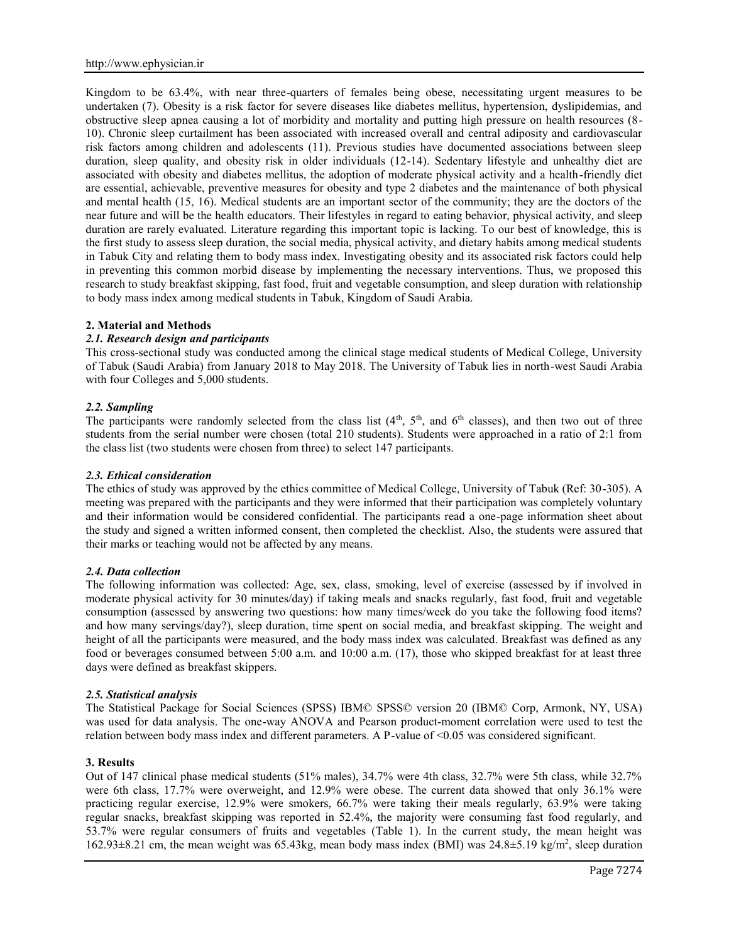Kingdom to be 63.4%, with near three-quarters of females being obese, necessitating urgent measures to be undertaken (7). Obesity is a risk factor for severe diseases like diabetes mellitus, hypertension, dyslipidemias, and obstructive sleep apnea causing a lot of morbidity and mortality and putting high pressure on health resources (8- 10). Chronic sleep curtailment has been associated with increased overall and central adiposity and cardiovascular risk factors among children and adolescents (11). Previous studies have documented associations between sleep duration, sleep quality, and obesity risk in older individuals (12-14). Sedentary lifestyle and unhealthy diet are associated with obesity and diabetes mellitus, the adoption of moderate physical activity and a health-friendly diet are essential, achievable, preventive measures for obesity and type 2 diabetes and the maintenance of both physical and mental health (15, 16). Medical students are an important sector of the community; they are the doctors of the near future and will be the health educators. Their lifestyles in regard to eating behavior, physical activity, and sleep duration are rarely evaluated. Literature regarding this important topic is lacking. To our best of knowledge, this is the first study to assess sleep duration, the social media, physical activity, and dietary habits among medical students in Tabuk City and relating them to body mass index. Investigating obesity and its associated risk factors could help in preventing this common morbid disease by implementing the necessary interventions. Thus, we proposed this research to study breakfast skipping, fast food, fruit and vegetable consumption, and sleep duration with relationship to body mass index among medical students in Tabuk, Kingdom of Saudi Arabia.

#### **2. Material and Methods**

# *2.1. Research design and participants*

This cross-sectional study was conducted among the clinical stage medical students of Medical College, University of Tabuk (Saudi Arabia) from January 2018 to May 2018. The University of Tabuk lies in north-west Saudi Arabia with four Colleges and 5,000 students.

# *2.2. Sampling*

The participants were randomly selected from the class list  $(4<sup>th</sup>, 5<sup>th</sup>,$  and  $6<sup>th</sup>$  classes), and then two out of three students from the serial number were chosen (total 210 students). Students were approached in a ratio of 2:1 from the class list (two students were chosen from three) to select 147 participants.

### *2.3. Ethical consideration*

The ethics of study was approved by the ethics committee of Medical College, University of Tabuk (Ref: 30-305). A meeting was prepared with the participants and they were informed that their participation was completely voluntary and their information would be considered confidential. The participants read a one-page information sheet about the study and signed a written informed consent, then completed the checklist. Also, the students were assured that their marks or teaching would not be affected by any means.

#### *2.4. Data collection*

The following information was collected: Age, sex, class, smoking, level of exercise (assessed by if involved in moderate physical activity for 30 minutes/day) if taking meals and snacks regularly, fast food, fruit and vegetable consumption (assessed by answering two questions: how many times/week do you take the following food items? and how many servings/day?), sleep duration, time spent on social media, and breakfast skipping. The weight and height of all the participants were measured, and the body mass index was calculated. Breakfast was defined as any food or beverages consumed between 5:00 a.m. and 10:00 a.m. (17), those who skipped breakfast for at least three days were defined as breakfast skippers.

#### *2.5. Statistical analysis*

The Statistical Package for Social Sciences (SPSS) IBM© SPSS© version 20 (IBM© Corp, Armonk, NY, USA) was used for data analysis. The one-way ANOVA and Pearson product-moment correlation were used to test the relation between body mass index and different parameters. A P-value of <0.05 was considered significant.

#### **3. Results**

Out of 147 clinical phase medical students (51% males), 34.7% were 4th class, 32.7% were 5th class, while 32.7% were 6th class, 17.7% were overweight, and 12.9% were obese. The current data showed that only 36.1% were practicing regular exercise, 12.9% were smokers, 66.7% were taking their meals regularly, 63.9% were taking regular snacks, breakfast skipping was reported in 52.4%, the majority were consuming fast food regularly, and 53.7% were regular consumers of fruits and vegetables (Table 1). In the current study, the mean height was 162.93±8.21 cm, the mean weight was 65.43kg, mean body mass index (BMI) was 24.8±5.19 kg/m<sup>2</sup> , sleep duration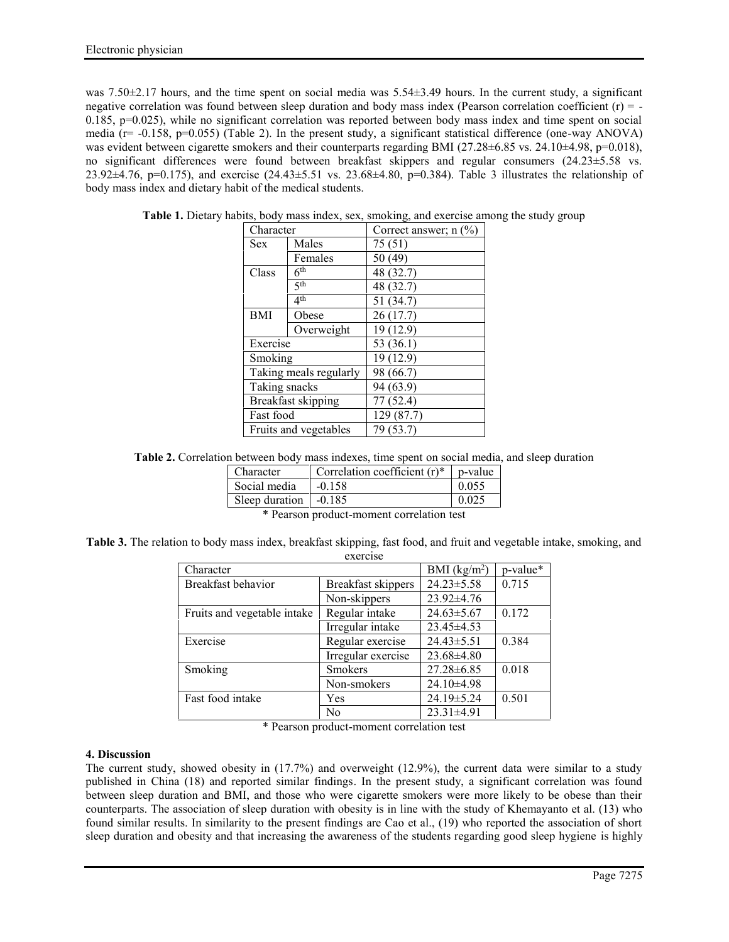was 7.50 $\pm$ 2.17 hours, and the time spent on social media was 5.54 $\pm$ 3.49 hours. In the current study, a significant negative correlation was found between sleep duration and body mass index (Pearson correlation coefficient  $(r) = -$ 0.185, p=0.025), while no significant correlation was reported between body mass index and time spent on social media (r= -0.158, p=0.055) (Table 2). In the present study, a significant statistical difference (one-way ANOVA) was evident between cigarette smokers and their counterparts regarding BMI ( $27.28\pm6.85$  vs.  $24.10\pm4.98$ ,  $p=0.018$ ), no significant differences were found between breakfast skippers and regular consumers (24.23±5.58 vs. 23.92 $\pm$ 4.76, p=0.175), and exercise (24.43 $\pm$ 5.51 vs. 23.68 $\pm$ 4.80, p=0.384). Table 3 illustrates the relationship of body mass index and dietary habit of the medical students.

| Character              |                 | Correct answer; $n$ (%) |
|------------------------|-----------------|-------------------------|
| Sex.                   | Males           | 75 (51)                 |
|                        | Females         | 50 (49)                 |
| Class                  | 6 <sup>th</sup> | 48 (32.7)               |
|                        | 5 <sup>th</sup> | 48 (32.7)               |
|                        | 4 <sup>th</sup> | 51 (34.7)               |
| BMI                    | Obese           | 26(17.7)                |
|                        | Overweight      | 19 (12.9)               |
| Exercise               |                 | 53 (36.1)               |
| Smoking                |                 | 19 (12.9)               |
| Taking meals regularly |                 | 98 (66.7)               |
| Taking snacks          |                 | 94 (63.9)               |
| Breakfast skipping     |                 | 77 (52.4)               |
| Fast food              |                 | 129 (87.7)              |
| Fruits and vegetables  |                 | 79 (53.7)               |

**Table 1.** Dietary habits, body mass index, sex, smoking, and exercise among the study group

**Table 2.** Correlation between body mass indexes, time spent on social media, and sleep duration

| Character                     | Correlation coefficient $(r)^*$ | p-value |
|-------------------------------|---------------------------------|---------|
| Social media                  | $-0.158$                        | 0.055   |
| Sleep duration $\vert$ -0.185 |                                 | 0.025   |
| $\mathbf{r}$                  |                                 |         |

\* Pearson product-moment correlation test

**Table 3.** The relation to body mass index, breakfast skipping, fast food, and fruit and vegetable intake, smoking, and exercise

| Character                   | BMI $(kg/m2)$      | p-value*         |       |
|-----------------------------|--------------------|------------------|-------|
| Breakfast behavior          | Breakfast skippers | $24.23 \pm 5.58$ | 0.715 |
|                             | Non-skippers       | $23.92 \pm 4.76$ |       |
| Fruits and vegetable intake | Regular intake     | $24.63 \pm 5.67$ | 0.172 |
|                             | Irregular intake   | $23.45 \pm 4.53$ |       |
| Exercise                    | Regular exercise   | $24.43 \pm 5.51$ | 0.384 |
|                             | Irregular exercise | $23.68 \pm 4.80$ |       |
| Smoking                     | <b>Smokers</b>     | $27.28 \pm 6.85$ | 0.018 |
|                             | Non-smokers        | 24.10±4.98       |       |
| Fast food intake            | Yes                | 24.19 ± 5.24     | 0.501 |
|                             | No                 | $23.31 \pm 4.91$ |       |

\* Pearson product-moment correlation test

# **4. Discussion**

The current study, showed obesity in (17.7%) and overweight (12.9%), the current data were similar to a study published in China (18) and reported similar findings. In the present study, a significant correlation was found between sleep duration and BMI, and those who were cigarette smokers were more likely to be obese than their counterparts. The association of sleep duration with obesity is in line with the study of Khemayanto et al. (13) who found similar results. In similarity to the present findings are Cao et al., (19) who reported the association of short sleep duration and obesity and that increasing the awareness of the students regarding good sleep hygiene is highly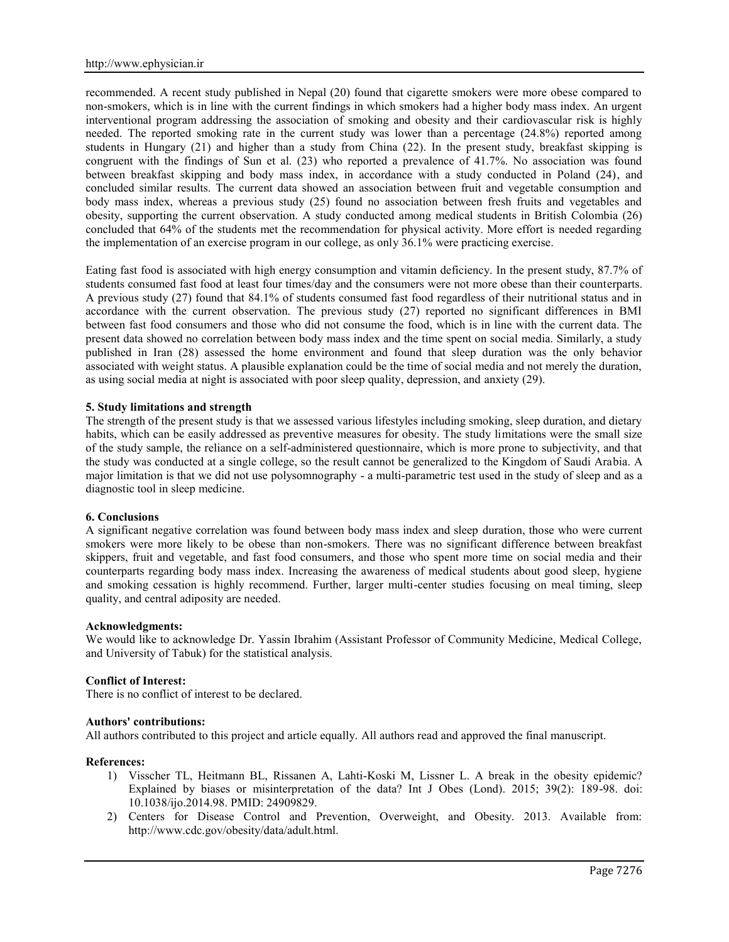recommended. A recent study published in Nepal (20) found that cigarette smokers were more obese compared to non-smokers, which is in line with the current findings in which smokers had a higher body mass index. An urgent interventional program addressing the association of smoking and obesity and their cardiovascular risk is highly needed. The reported smoking rate in the current study was lower than a percentage (24.8%) reported among students in Hungary (21) and higher than a study from China (22). In the present study, breakfast skipping is congruent with the findings of Sun et al. (23) who reported a prevalence of 41.7%. No association was found between breakfast skipping and body mass index, in accordance with a study conducted in Poland (24), and concluded similar results. The current data showed an association between fruit and vegetable consumption and body mass index, whereas a previous study (25) found no association between fresh fruits and vegetables and obesity, supporting the current observation. A study conducted among medical students in British Colombia (26) concluded that 64% of the students met the recommendation for physical activity. More effort is needed regarding the implementation of an exercise program in our college, as only 36.1% were practicing exercise.

Eating fast food is associated with high energy consumption and vitamin deficiency. In the present study, 87.7% of students consumed fast food at least four times/day and the consumers were not more obese than their counterparts. A previous study (27) found that 84.1% of students consumed fast food regardless of their nutritional status and in accordance with the current observation. The previous study (27) reported no significant differences in BMI between fast food consumers and those who did not consume the food, which is in line with the current data. The present data showed no correlation between body mass index and the time spent on social media. Similarly, a study published in Iran (28) assessed the home environment and found that sleep duration was the only behavior associated with weight status. A plausible explanation could be the time of social media and not merely the duration, as using social media at night is associated with poor sleep quality, depression, and anxiety (29).

# **5. Study limitations and strength**

The strength of the present study is that we assessed various lifestyles including smoking, sleep duration, and dietary habits, which can be easily addressed as preventive measures for obesity. The study limitations were the small size of the study sample, the reliance on a self-administered questionnaire, which is more prone to subjectivity, and that the study was conducted at a single college, so the result cannot be generalized to the Kingdom of Saudi Arabia. A major limitation is that we did not use polysomnography - a multi-parametric test used in the study of sleep and as a diagnostic tool in sleep medicine.

### **6. Conclusions**

A significant negative correlation was found between body mass index and sleep duration, those who were current smokers were more likely to be obese than non-smokers. There was no significant difference between breakfast skippers, fruit and vegetable, and fast food consumers, and those who spent more time on social media and their counterparts regarding body mass index. Increasing the awareness of medical students about good sleep, hygiene and smoking cessation is highly recommend. Further, larger multi-center studies focusing on meal timing, sleep quality, and central adiposity are needed.

#### **Acknowledgments:**

We would like to acknowledge Dr. Yassin Ibrahim (Assistant Professor of Community Medicine, Medical College, and University of Tabuk) for the statistical analysis.

#### **Conflict of Interest:**

There is no conflict of interest to be declared.

#### **Authors' contributions:**

All authors contributed to this project and article equally. All authors read and approved the final manuscript.

#### **References:**

- 1) Visscher TL, Heitmann BL, Rissanen A, Lahti-Koski M, Lissner L. A break in the obesity epidemic? Explained by biases or misinterpretation of the data? Int J Obes (Lond). 2015; 39(2): 189-98. doi: 10.1038/ijo.2014.98. PMID: 24909829.
- 2) Centers for Disease Control and Prevention, Overweight, and Obesity. 2013. Available from: http://www.cdc.gov/obesity/data/adult.html.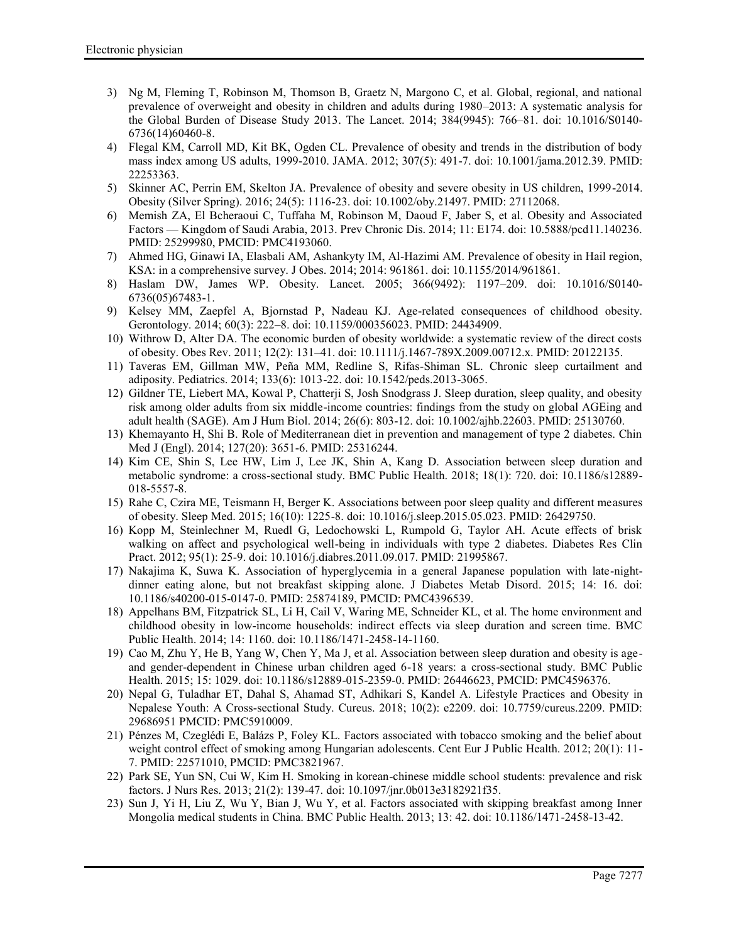- 3) Ng M, Fleming T, Robinson M, Thomson B, Graetz N, Margono C, et al. Global, regional, and national prevalence of overweight and obesity in children and adults during 1980–2013: A systematic analysis for the Global Burden of Disease Study 2013. The Lancet. 2014; 384(9945): 766–81. doi: 10.1016/S0140- 6736(14)60460-8.
- 4) Flegal KM, Carroll MD, Kit BK, Ogden CL. Prevalence of obesity and trends in the distribution of body mass index among US adults, 1999-2010. JAMA. 2012; 307(5): 491-7. doi: 10.1001/jama.2012.39. PMID: 22253363.
- 5) Skinner AC, Perrin EM, Skelton JA. Prevalence of obesity and severe obesity in US children, 1999-2014. Obesity (Silver Spring). 2016; 24(5): 1116-23. doi: 10.1002/oby.21497. PMID: 27112068.
- 6) Memish ZA, El Bcheraoui C, Tuffaha M, Robinson M, Daoud F, Jaber S, et al. Obesity and Associated Factors — Kingdom of Saudi Arabia, 2013. Prev Chronic Dis. 2014; 11: E174. doi: 10.5888/pcd11.140236. PMID: 25299980, PMCID: PMC4193060.
- 7) Ahmed HG, Ginawi IA, Elasbali AM, Ashankyty IM, Al-Hazimi AM. Prevalence of obesity in Hail region, KSA: in a comprehensive survey. J Obes. 2014; 2014: 961861. doi: 10.1155/2014/961861.
- 8) Haslam DW, James WP. Obesity. Lancet. 2005; 366(9492): 1197–209. doi: 10.1016/S0140- 6736(05)67483-1.
- 9) Kelsey MM, Zaepfel A, Bjornstad P, Nadeau KJ. Age-related consequences of childhood obesity. Gerontology. 2014; 60(3): 222–8. doi: 10.1159/000356023. PMID: 24434909.
- 10) Withrow D, Alter DA. The economic burden of obesity worldwide: a systematic review of the direct costs of obesity. Obes Rev. 2011; 12(2): 131–41. doi: 10.1111/j.1467-789X.2009.00712.x. PMID: 20122135.
- 11) Taveras EM, Gillman MW, Peña MM, Redline S, Rifas-Shiman SL. Chronic sleep curtailment and adiposity. Pediatrics. 2014; 133(6): 1013-22. doi: 10.1542/peds.2013-3065.
- 12) Gildner TE, Liebert MA, Kowal P, Chatterji S, Josh Snodgrass J. Sleep duration, sleep quality, and obesity risk among older adults from six middle-income countries: findings from the study on global AGEing and adult health (SAGE). Am J Hum Biol. 2014; 26(6): 803-12. doi: 10.1002/ajhb.22603. PMID: 25130760.
- 13) Khemayanto H, Shi B. Role of Mediterranean diet in prevention and management of type 2 diabetes. Chin Med J (Engl). 2014; 127(20): 3651-6. PMID: 25316244.
- 14) Kim CE, Shin S, Lee HW, Lim J, Lee JK, Shin A, Kang D. Association between sleep duration and metabolic syndrome: a cross-sectional study. BMC Public Health. 2018; 18(1): 720. doi: 10.1186/s12889- 018-5557-8.
- 15) Rahe C, Czira ME, Teismann H, Berger K. Associations between poor sleep quality and different measures of obesity. Sleep Med. 2015; 16(10): 1225-8. doi: 10.1016/j.sleep.2015.05.023. PMID: 26429750.
- 16) Kopp M, Steinlechner M, Ruedl G, Ledochowski L, Rumpold G, Taylor AH. Acute effects of brisk walking on affect and psychological well-being in individuals with type 2 diabetes. Diabetes Res Clin Pract. 2012; 95(1): 25-9. doi: 10.1016/j.diabres.2011.09.017. PMID: 21995867.
- 17) Nakajima K, Suwa K. Association of hyperglycemia in a general Japanese population with late-night dinner eating alone, but not breakfast skipping alone. J Diabetes Metab Disord. 2015; 14: 16. doi: 10.1186/s40200-015-0147-0. PMID: 25874189, PMCID: PMC4396539.
- 18) Appelhans BM, Fitzpatrick SL, Li H, Cail V, Waring ME, Schneider KL, et al. The home environment and childhood obesity in low-income households: indirect effects via sleep duration and screen time. BMC Public Health. 2014; 14: 1160. doi: 10.1186/1471-2458-14-1160.
- 19) Cao M, Zhu Y, He B, Yang W, Chen Y, Ma J, et al. Association between sleep duration and obesity is age and gender-dependent in Chinese urban children aged 6-18 years: a cross-sectional study. BMC Public Health. 2015; 15: 1029. doi: 10.1186/s12889-015-2359-0. PMID: 26446623, PMCID: PMC4596376.
- 20) Nepal G, Tuladhar ET, Dahal S, Ahamad ST, Adhikari S, Kandel A. Lifestyle Practices and Obesity in Nepalese Youth: A Cross-sectional Study. Cureus. 2018; 10(2): e2209. doi: 10.7759/cureus.2209. PMID: 29686951 PMCID: PMC5910009.
- 21) Pénzes M, Czeglédi E, Balázs P, Foley KL. Factors associated with tobacco smoking and the belief about weight control effect of smoking among Hungarian adolescents. Cent Eur J Public Health. 2012; 20(1): 11-7. PMID: 22571010, PMCID: PMC3821967.
- 22) Park SE, Yun SN, Cui W, Kim H. Smoking in korean-chinese middle school students: prevalence and risk factors. J Nurs Res. 2013; 21(2): 139-47. doi: 10.1097/jnr.0b013e3182921f35.
- 23) Sun J, Yi H, Liu Z, Wu Y, Bian J, Wu Y, et al. Factors associated with skipping breakfast among Inner Mongolia medical students in China. BMC Public Health. 2013; 13: 42. doi: 10.1186/1471-2458-13-42.